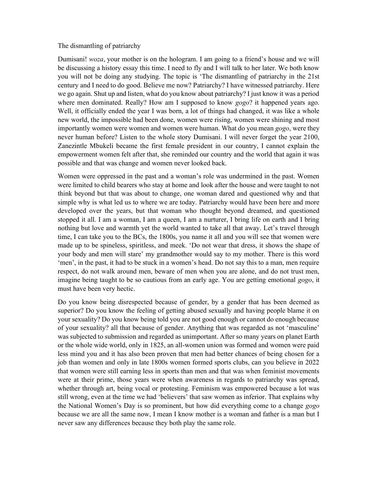## The dismantling of patriarchy

Dumisani! woza, your mother is on the hologram. I am going to a friend's house and we will be discussing a history essay this time. I need to fly and I will talk to her later. We both know you will not be doing any studying. The topic is 'The dismantling of patriarchy in the 21st century and I need to do good. Believe me now? Patriarchy? I have witnessed patriarchy. Here we go again. Shut up and listen, what do you know about patriarchy? I just know it was a period where men dominated. Really? How am I supposed to know  $gogo$ ? it happened years ago. Well, it officially ended the year I was born, a lot of things had changed, it was like a whole new world, the impossible had been done, women were rising, women were shining and most importantly women were women and women were human. What do you mean *gogo*, were they never human before? Listen to the whole story Dumisani. I will never forget the year 2100, Zanezintle Mbukeli became the first female president in our country, I cannot explain the empowerment women felt after that, she reminded our country and the world that again it was possible and that was change and women never looked back.

Women were oppressed in the past and a woman's role was undermined in the past. Women were limited to child bearers who stay at home and look after the house and were taught to not think beyond but that was about to change, one woman dared and questioned why and that simple why is what led us to where we are today. Patriarchy would have been here and more developed over the years, but that woman who thought beyond dreamed, and questioned stopped it all. I am a woman, I am a queen, I am a nurturer, I bring life on earth and I bring nothing but love and warmth yet the world wanted to take all that away. Let's travel through time, I can take you to the BCs, the 1800s, you name it all and you will see that women were made up to be spineless, spiritless, and meek. 'Do not wear that dress, it shows the shape of your body and men will stare' my grandmother would say to my mother. There is this word 'men', in the past, it had to be stuck in a women's head. Do not say this to a man, men require respect, do not walk around men, beware of men when you are alone, and do not trust men, imagine being taught to be so cautious from an early age. You are getting emotional gogo, it must have been very hectic.

Do you know being disrespected because of gender, by a gender that has been deemed as superior? Do you know the feeling of getting abused sexually and having people blame it on your sexuality? Do you know being told you are not good enough or cannot do enough because of your sexuality? all that because of gender. Anything that was regarded as not 'masculine' was subjected to submission and regarded as unimportant. After so many years on planet Earth or the whole wide world, only in 1825, an all-women union was formed and women were paid less mind you and it has also been proven that men had better chances of being chosen for a job than women and only in late 1800s women formed sports clubs, can you believe in 2022 that women were still earning less in sports than men and that was when feminist movements were at their prime, those years were when awareness in regards to patriarchy was spread, whether through art, being vocal or protesting. Feminism was empowered because a lot was still wrong, even at the time we had 'believers' that saw women as inferior. That explains why the National Women's Day is so prominent, but how did everything come to a change gogo because we are all the same now, I mean I know mother is a woman and father is a man but I never saw any differences because they both play the same role.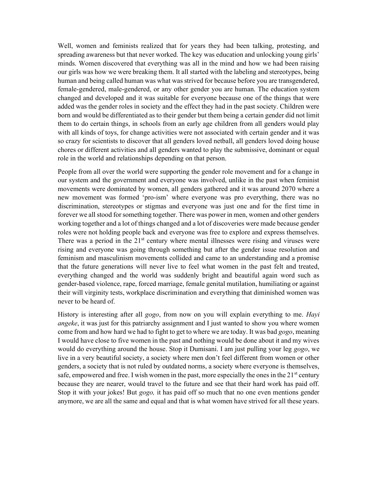Well, women and feminists realized that for years they had been talking, protesting, and spreading awareness but that never worked. The key was education and unlocking young girls' minds. Women discovered that everything was all in the mind and how we had been raising our girls was how we were breaking them. It all started with the labeling and stereotypes, being human and being called human was what was strived for because before you are transgendered, female-gendered, male-gendered, or any other gender you are human. The education system changed and developed and it was suitable for everyone because one of the things that were added was the gender roles in society and the effect they had in the past society. Children were born and would be differentiated as to their gender but them being a certain gender did not limit them to do certain things, in schools from an early age children from all genders would play with all kinds of toys, for change activities were not associated with certain gender and it was so crazy for scientists to discover that all genders loved netball, all genders loved doing house chores or different activities and all genders wanted to play the submissive, dominant or equal role in the world and relationships depending on that person.

People from all over the world were supporting the gender role movement and for a change in our system and the government and everyone was involved, unlike in the past when feminist movements were dominated by women, all genders gathered and it was around 2070 where a new movement was formed 'pro-ism' where everyone was pro everything, there was no discrimination, stereotypes or stigmas and everyone was just one and for the first time in forever we all stood for something together. There was power in men, women and other genders working together and a lot of things changed and a lot of discoveries were made because gender roles were not holding people back and everyone was free to explore and express themselves. There was a period in the  $21<sup>st</sup>$  century where mental illnesses were rising and viruses were rising and everyone was going through something but after the gender issue resolution and feminism and masculinism movements collided and came to an understanding and a promise that the future generations will never live to feel what women in the past felt and treated, everything changed and the world was suddenly bright and beautiful again word such as gender-based violence, rape, forced marriage, female genital mutilation, humiliating or against their will virginity tests, workplace discrimination and everything that diminished women was never to be heard of.

History is interesting after all gogo, from now on you will explain everything to me. *Hayi* angeke, it was just for this patriarchy assignment and I just wanted to show you where women come from and how hard we had to fight to get to where we are today. It was bad gogo, meaning I would have close to five women in the past and nothing would be done about it and my wives would do everything around the house. Stop it Dumisani. I am just pulling your leg gogo, we live in a very beautiful society, a society where men don't feel different from women or other genders, a society that is not ruled by outdated norms, a society where everyone is themselves, safe, empowered and free. I wish women in the past, more especially the ones in the  $21^{st}$  century because they are nearer, would travel to the future and see that their hard work has paid off. Stop it with your jokes! But *gogo*, it has paid off so much that no one even mentions gender anymore, we are all the same and equal and that is what women have strived for all these years.